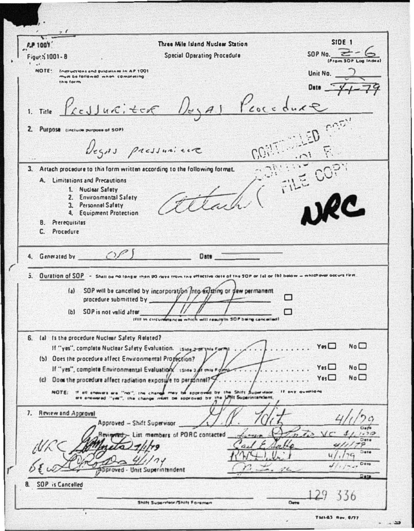| <b>FP 1007</b>                                                                                                                       | Three Mile Island Nuclear Station                                                                                                          | SIDE <sub>1</sub>                 |
|--------------------------------------------------------------------------------------------------------------------------------------|--------------------------------------------------------------------------------------------------------------------------------------------|-----------------------------------|
| Figur \$1001-8                                                                                                                       | <b>Special Operating Procedure</b>                                                                                                         | SOP No. $\equiv$                  |
| NOTE:<br>Instructions and guidalines in AP 1001                                                                                      |                                                                                                                                            | Unit No.                          |
| mun be failaned when completing<br><b>This form</b>                                                                                  |                                                                                                                                            |                                   |
|                                                                                                                                      |                                                                                                                                            | Date $-3$                         |
|                                                                                                                                      | 1. Title Presidenti der Megal Procedure                                                                                                    |                                   |
|                                                                                                                                      |                                                                                                                                            |                                   |
| 2. Purpose tinclude purpose of SOP)                                                                                                  |                                                                                                                                            |                                   |
|                                                                                                                                      |                                                                                                                                            |                                   |
| Degns pressurience                                                                                                                   |                                                                                                                                            |                                   |
| FILE COPY<br>3. Artach procedure to this form written according to the following format.                                             |                                                                                                                                            |                                   |
| A. Limitations and Precautions                                                                                                       |                                                                                                                                            |                                   |
| 1. Nuclear Safety<br>2. Environmental Safety                                                                                         |                                                                                                                                            |                                   |
| 3. Personnel Safety                                                                                                                  |                                                                                                                                            |                                   |
| 4. Equipment Protection                                                                                                              |                                                                                                                                            |                                   |
| <b>B.</b> Prerequisitos<br>C. Procedure                                                                                              |                                                                                                                                            |                                   |
|                                                                                                                                      |                                                                                                                                            |                                   |
| 4. Generated by ______ C) P                                                                                                          | <b>Date</b>                                                                                                                                |                                   |
| 5. Ouration of SOP - Shall be no longer than 90 days from the effective date of the SOP or (a) or (b) below = whichever occurs first |                                                                                                                                            |                                   |
| (a) SOP will be cancelled by incorporation into existing or dew permanent                                                            |                                                                                                                                            |                                   |
| procedure submitted by ______                                                                                                        |                                                                                                                                            |                                   |
| SOP is not valid after<br>(b)                                                                                                        |                                                                                                                                            |                                   |
|                                                                                                                                      | which will result in SOP being cancelled!<br>(FIII In circumferences                                                                       |                                   |
| 6. (a) Is the procedure Nuclear Safety Related?                                                                                      |                                                                                                                                            |                                   |
| $N_0$ $\Box$<br>$Y_{\mathbf{m}}\Box$<br>If "yes", complete Nuclear Safety Evaluation. Island and this Formit                         |                                                                                                                                            |                                   |
| (b) Ooes the procedure affect Environmental Profection?<br>Yes                                                                       |                                                                                                                                            |                                   |
| $N_0$ $\Box$<br>If "yes", complete Environmental Evaluation. ISide 2 of this Forma<br>N <sub>0</sub><br>$Y$ es $\square$             |                                                                                                                                            |                                   |
| (c) Does the procedure affect radiation exposure to pergonnel?"                                                                      |                                                                                                                                            |                                   |
| NOTE: If all answer                                                                                                                  | re "no", the change may be approved by the Shift Supervisor<br>are answered "yes", the change must be approved by the UNIt Superintendent. | If one qualifiers                 |
| 7. Review and Approval                                                                                                               |                                                                                                                                            |                                   |
| Approved - Shift Supervisor                                                                                                          |                                                                                                                                            | Defi                              |
|                                                                                                                                      | Reviewed __ List members of PORC contacted                                                                                                 | $\prime$ $\prime$<br>0.32<br>Dete |
|                                                                                                                                      | $\boldsymbol{a}$                                                                                                                           | ۰<br><b>Dete</b>                  |
|                                                                                                                                      |                                                                                                                                            | Dere<br>$10 - 50$                 |
| Approved - Unit Superintendent                                                                                                       |                                                                                                                                            | アヒ<br>Data                        |
| SOP is Cancelled<br>8.                                                                                                               |                                                                                                                                            |                                   |
|                                                                                                                                      | Shift Supervisor/Shift Foreman                                                                                                             | 556<br>Deta                       |
| $\blacksquare$<br>TMLAS Rev. 8/77                                                                                                    |                                                                                                                                            |                                   |